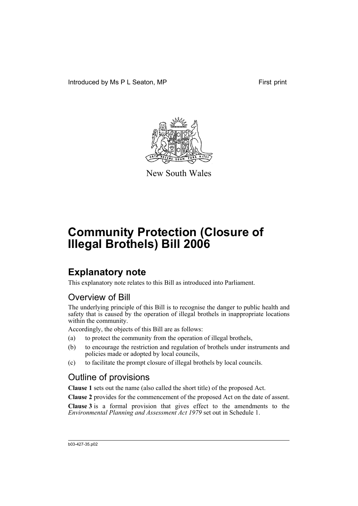Introduced by Ms P L Seaton, MP First print



New South Wales

# **Community Protection (Closure of Illegal Brothels) Bill 2006**

## **Explanatory note**

This explanatory note relates to this Bill as introduced into Parliament.

### Overview of Bill

The underlying principle of this Bill is to recognise the danger to public health and safety that is caused by the operation of illegal brothels in inappropriate locations within the community.

Accordingly, the objects of this Bill are as follows:

- (a) to protect the community from the operation of illegal brothels,
- (b) to encourage the restriction and regulation of brothels under instruments and policies made or adopted by local councils,
- (c) to facilitate the prompt closure of illegal brothels by local councils.

### Outline of provisions

**Clause 1** sets out the name (also called the short title) of the proposed Act.

**Clause 2** provides for the commencement of the proposed Act on the date of assent.

**Clause 3** is a formal provision that gives effect to the amendments to the *Environmental Planning and Assessment Act 1979* set out in Schedule 1.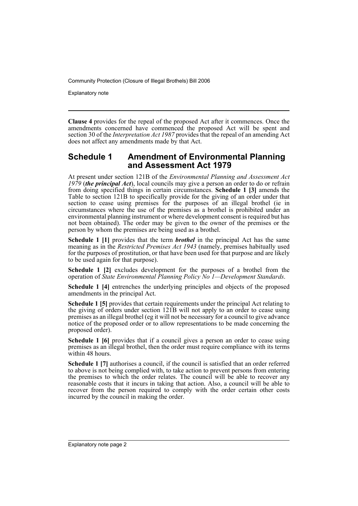Explanatory note

**Clause 4** provides for the repeal of the proposed Act after it commences. Once the amendments concerned have commenced the proposed Act will be spent and section 30 of the *Interpretation Act 1987* provides that the repeal of an amending Act does not affect any amendments made by that Act.

#### **Schedule 1 Amendment of Environmental Planning and Assessment Act 1979**

At present under section 121B of the *Environmental Planning and Assessment Act 1979* (*the principal Act*), local councils may give a person an order to do or refrain from doing specified things in certain circumstances. **Schedule 1 [3]** amends the Table to section 121B to specifically provide for the giving of an order under that section to cease using premises for the purposes of an illegal brothel (ie in circumstances where the use of the premises as a brothel is prohibited under an environmental planning instrument or where development consent is required but has not been obtained). The order may be given to the owner of the premises or the person by whom the premises are being used as a brothel.

**Schedule 1 [1]** provides that the term *brothel* in the principal Act has the same meaning as in the *Restricted Premises Act 1943* (namely, premises habitually used for the purposes of prostitution, or that have been used for that purpose and are likely to be used again for that purpose).

**Schedule 1 [2]** excludes development for the purposes of a brothel from the operation of *State Environmental Planning Policy No 1—Development Standards*.

**Schedule 1 [4]** entrenches the underlying principles and objects of the proposed amendments in the principal Act.

**Schedule 1 [5]** provides that certain requirements under the principal Act relating to the giving of orders under section 121B will not apply to an order to cease using premises as an illegal brothel (eg it will not be necessary for a council to give advance notice of the proposed order or to allow representations to be made concerning the proposed order).

**Schedule 1 [6]** provides that if a council gives a person an order to cease using premises as an illegal brothel, then the order must require compliance with its terms within 48 hours.

**Schedule 1 [7]** authorises a council, if the council is satisfied that an order referred to above is not being complied with, to take action to prevent persons from entering the premises to which the order relates. The council will be able to recover any reasonable costs that it incurs in taking that action. Also, a council will be able to recover from the person required to comply with the order certain other costs incurred by the council in making the order.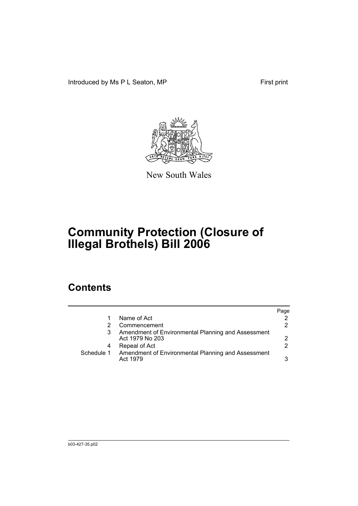Introduced by Ms P L Seaton, MP First print



New South Wales

# **Community Protection (Closure of Illegal Brothels) Bill 2006**

## **Contents**

|            |                                                                       | Page |
|------------|-----------------------------------------------------------------------|------|
|            | Name of Act                                                           |      |
|            | Commencement                                                          | 2    |
|            | Amendment of Environmental Planning and Assessment<br>Act 1979 No 203 | 2    |
| 4          | Repeal of Act                                                         | 2.   |
| Schedule 1 | Amendment of Environmental Planning and Assessment<br>Act 1979        | 3    |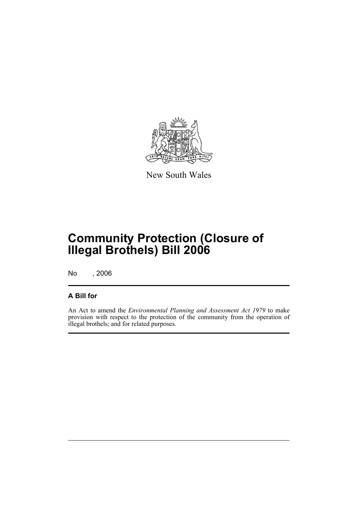

New South Wales

## **Community Protection (Closure of Illegal Brothels) Bill 2006**

No , 2006

#### **A Bill for**

An Act to amend the *Environmental Planning and Assessment Act 1979* to make provision with respect to the protection of the community from the operation of illegal brothels; and for related purposes.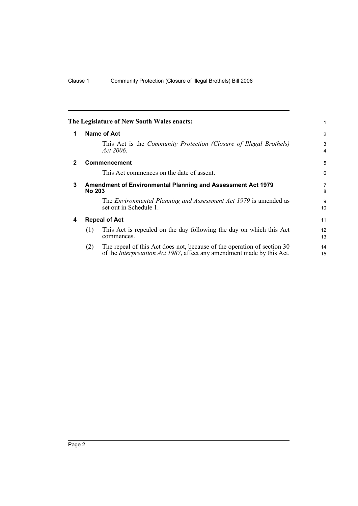<span id="page-5-3"></span><span id="page-5-2"></span><span id="page-5-1"></span><span id="page-5-0"></span>

|              |                                                                                     | The Legislature of New South Wales enacts:                                                                                                                | 1        |  |
|--------------|-------------------------------------------------------------------------------------|-----------------------------------------------------------------------------------------------------------------------------------------------------------|----------|--|
| 1            |                                                                                     | Name of Act                                                                                                                                               | 2        |  |
|              |                                                                                     | This Act is the <i>Community Protection (Closure of Illegal Brothels)</i><br>Act $2006$ .                                                                 | 3<br>4   |  |
| $\mathbf{2}$ |                                                                                     | <b>Commencement</b>                                                                                                                                       | 5        |  |
|              |                                                                                     | This Act commences on the date of assent.                                                                                                                 | 6        |  |
| 3            | <b>Amendment of Environmental Planning and Assessment Act 1979</b><br><b>No 203</b> |                                                                                                                                                           |          |  |
|              |                                                                                     | The <i>Environmental Planning and Assessment Act 1979</i> is amended as<br>set out in Schedule 1.                                                         | 9<br>10  |  |
| 4            |                                                                                     | <b>Repeal of Act</b>                                                                                                                                      | 11       |  |
|              | (1)                                                                                 | This Act is repealed on the day following the day on which this Act<br>commences.                                                                         | 12<br>13 |  |
|              | (2)                                                                                 | The repeal of this Act does not, because of the operation of section 30<br>of the <i>Interpretation Act 1987</i> , affect any amendment made by this Act. | 14<br>15 |  |
|              |                                                                                     |                                                                                                                                                           |          |  |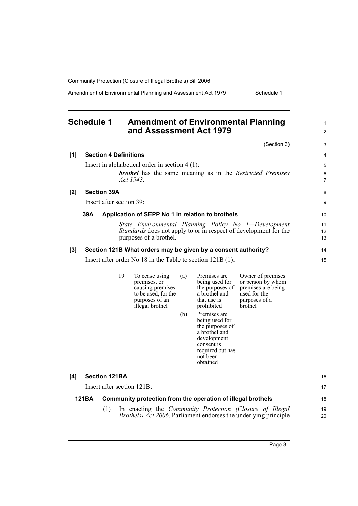Amendment of Environmental Planning and Assessment Act 1979 Schedule 1

<span id="page-6-0"></span>

|     | <b>Schedule 1</b> |                              | <b>Amendment of Environmental Planning</b><br>and Assessment Act 1979                                          |            |                                                                                                                                                                                                                                                |                                                                                                                                             | 1<br>$\overline{2}$ |
|-----|-------------------|------------------------------|----------------------------------------------------------------------------------------------------------------|------------|------------------------------------------------------------------------------------------------------------------------------------------------------------------------------------------------------------------------------------------------|---------------------------------------------------------------------------------------------------------------------------------------------|---------------------|
|     |                   |                              |                                                                                                                |            |                                                                                                                                                                                                                                                | (Section 3)                                                                                                                                 | 3                   |
| [1] |                   | <b>Section 4 Definitions</b> |                                                                                                                |            |                                                                                                                                                                                                                                                |                                                                                                                                             | 4                   |
|     |                   |                              | Insert in alphabetical order in section $4(1)$ :<br>Act 1943.                                                  |            |                                                                                                                                                                                                                                                | <b>brothel</b> has the same meaning as in the Restricted Premises                                                                           | 5<br>6<br>7         |
| [2] |                   | <b>Section 39A</b>           |                                                                                                                |            |                                                                                                                                                                                                                                                |                                                                                                                                             | 8                   |
|     |                   | Insert after section 39:     |                                                                                                                |            |                                                                                                                                                                                                                                                |                                                                                                                                             | 9                   |
|     | 39A               |                              | Application of SEPP No 1 in relation to brothels                                                               |            |                                                                                                                                                                                                                                                |                                                                                                                                             | 10                  |
|     |                   |                              | purposes of a brothel.                                                                                         |            |                                                                                                                                                                                                                                                | State Environmental Planning Policy No 1—Development<br><i>Standards</i> does not apply to or in respect of development for the             | 11<br>12<br>13      |
| [3] |                   |                              | Section 121B What orders may be given by a consent authority?                                                  |            |                                                                                                                                                                                                                                                |                                                                                                                                             | 14                  |
|     |                   |                              | Insert after order No $18$ in the Table to section $121B(1)$ :                                                 |            |                                                                                                                                                                                                                                                |                                                                                                                                             | 15                  |
|     |                   | 19                           | To cease using<br>premises, or<br>causing premises<br>to be used, for the<br>purposes of an<br>illegal brothel | (a)<br>(b) | Premises are<br>being used for<br>the purposes of<br>a brothel and<br>that use is<br>prohibited<br>Premises are<br>being used for<br>the purposes of<br>a brothel and<br>development<br>consent is<br>required but has<br>not been<br>obtained | Owner of premises<br>or person by whom<br>premises are being<br>used for the<br>purposes of a<br>brothel                                    |                     |
| [4] |                   | <b>Section 121BA</b>         |                                                                                                                |            |                                                                                                                                                                                                                                                |                                                                                                                                             | 16                  |
|     |                   | Insert after section 121B:   |                                                                                                                |            |                                                                                                                                                                                                                                                |                                                                                                                                             | 17                  |
|     | 121BA             |                              | Community protection from the operation of illegal brothels                                                    |            |                                                                                                                                                                                                                                                |                                                                                                                                             | 18                  |
|     |                   | (1)                          |                                                                                                                |            |                                                                                                                                                                                                                                                | In enacting the <i>Community Protection (Closure of Illegal</i><br><i>Brothels) Act 2006</i> , Parliament endorses the underlying principle | 19<br>20            |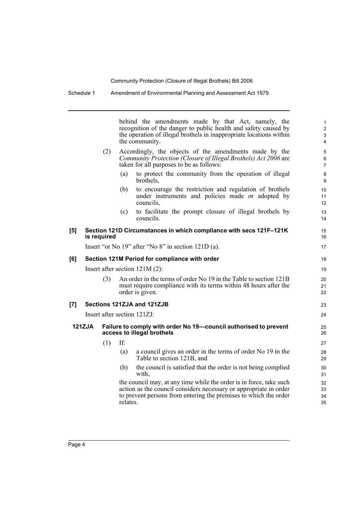Schedule 1 Amendment of Environmental Planning and Assessment Act 1979

behind the amendments made by that Act, namely, the recognition of the danger to public health and safety caused by the operation of illegal brothels in inappropriate locations within the community. (2) Accordingly, the objects of the amendments made by the *Community Protection (Closure of Illegal Brothels) Act 2006* are taken for all purposes to be as follows: (a) to protect the community from the operation of illegal brothels, (b) to encourage the restriction and regulation of brothels under instruments and policies made or adopted by councils, (c) to facilitate the prompt closure of illegal brothels by councils. **[5] Section 121D Circumstances in which compliance with secs 121F–121K is required** Insert "or No 19" after "No 8" in section 121D (a). **[6] Section 121M Period for compliance with order** Insert after section 121M (2): (3) An order in the terms of order No 19 in the Table to section 121B must require compliance with its terms within 48 hours after the order is given. **[7] Sections 121ZJA and 121ZJB** Insert after section 121ZJ: **121ZJA Failure to comply with order No 19—council authorised to prevent access to illegal brothels** (1) If: 2 4 6 7 8 9  $10$ 11 12 13 14 15 16 17 18 19  $20$ 21  $22$ 23 24 25 26 27

1

3

5

- (a) a council gives an order in the terms of order No 19 in the Table to section 121B, and
- (b) the council is satisfied that the order is not being complied with,

the council may, at any time while the order is in force, take such action as the council considers necessary or appropriate in order to prevent persons from entering the premises to which the order relates.